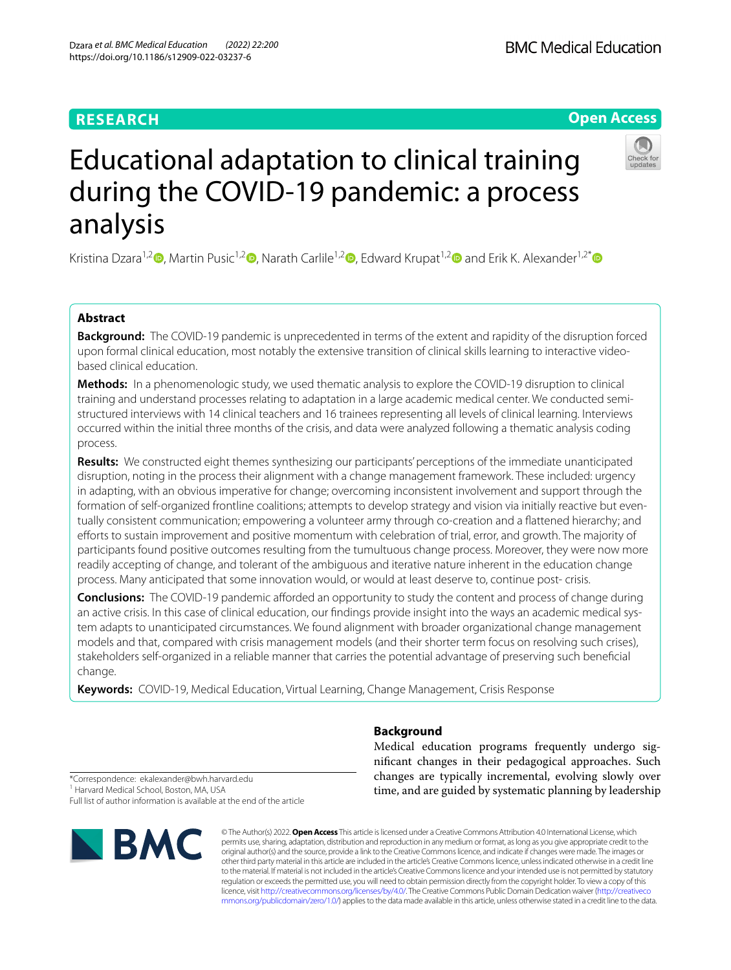# **RESEARCH**

# **Open Access**



# Educational adaptation to clinical training during the COVID-19 pandemic: a process analysis

Kristina Dzara<sup>1,[2](http://orcid.org/0000-0001-9377-0132)</sup> [,](http://orcid.org/0000-0001-5236-6598) Martin Pusic<sup>1,2</sup> , Narath Carlile<sup>1,2</sup> , Edward Krupat<sup>1,2</sup> and Erik K. Alexander<sup>1,2[\\*](http://orcid.org/0000-0002-1313-2462)</sup> and Erik K. Alexander<sup>1,2\*</sup>

# **Abstract**

**Background:** The COVID-19 pandemic is unprecedented in terms of the extent and rapidity of the disruption forced upon formal clinical education, most notably the extensive transition of clinical skills learning to interactive videobased clinical education.

**Methods:** In a phenomenologic study, we used thematic analysis to explore the COVID-19 disruption to clinical training and understand processes relating to adaptation in a large academic medical center. We conducted semistructured interviews with 14 clinical teachers and 16 trainees representing all levels of clinical learning. Interviews occurred within the initial three months of the crisis, and data were analyzed following a thematic analysis coding process.

**Results:** We constructed eight themes synthesizing our participants' perceptions of the immediate unanticipated disruption, noting in the process their alignment with a change management framework. These included: urgency in adapting, with an obvious imperative for change; overcoming inconsistent involvement and support through the formation of self-organized frontline coalitions; attempts to develop strategy and vision via initially reactive but eventually consistent communication; empowering a volunteer army through co-creation and a fattened hierarchy; and efforts to sustain improvement and positive momentum with celebration of trial, error, and growth. The majority of participants found positive outcomes resulting from the tumultuous change process. Moreover, they were now more readily accepting of change, and tolerant of the ambiguous and iterative nature inherent in the education change process. Many anticipated that some innovation would, or would at least deserve to, continue post- crisis.

**Conclusions:** The COVID-19 pandemic afforded an opportunity to study the content and process of change during an active crisis. In this case of clinical education, our fndings provide insight into the ways an academic medical system adapts to unanticipated circumstances. We found alignment with broader organizational change management models and that, compared with crisis management models (and their shorter term focus on resolving such crises), stakeholders self-organized in a reliable manner that carries the potential advantage of preserving such benefcial change.

**Keywords:** COVID-19, Medical Education, Virtual Learning, Change Management, Crisis Response

**Background**

Medical education programs frequently undergo signifcant changes in their pedagogical approaches. Such changes are typically incremental, evolving slowly over time, and are guided by systematic planning by leadership

\*Correspondence: ekalexander@bwh.harvard.edu <sup>1</sup> Harvard Medical School, Boston, MA, USA Full list of author information is available at the end of the article



© The Author(s) 2022. **Open Access** This article is licensed under a Creative Commons Attribution 4.0 International License, which permits use, sharing, adaptation, distribution and reproduction in any medium or format, as long as you give appropriate credit to the original author(s) and the source, provide a link to the Creative Commons licence, and indicate if changes were made. The images or other third party material in this article are included in the article's Creative Commons licence, unless indicated otherwise in a credit line to the material. If material is not included in the article's Creative Commons licence and your intended use is not permitted by statutory regulation or exceeds the permitted use, you will need to obtain permission directly from the copyright holder. To view a copy of this licence, visit [http://creativecommons.org/licenses/by/4.0/.](http://creativecommons.org/licenses/by/4.0/) The Creative Commons Public Domain Dedication waiver ([http://creativeco](http://creativecommons.org/publicdomain/zero/1.0/) [mmons.org/publicdomain/zero/1.0/](http://creativecommons.org/publicdomain/zero/1.0/)) applies to the data made available in this article, unless otherwise stated in a credit line to the data.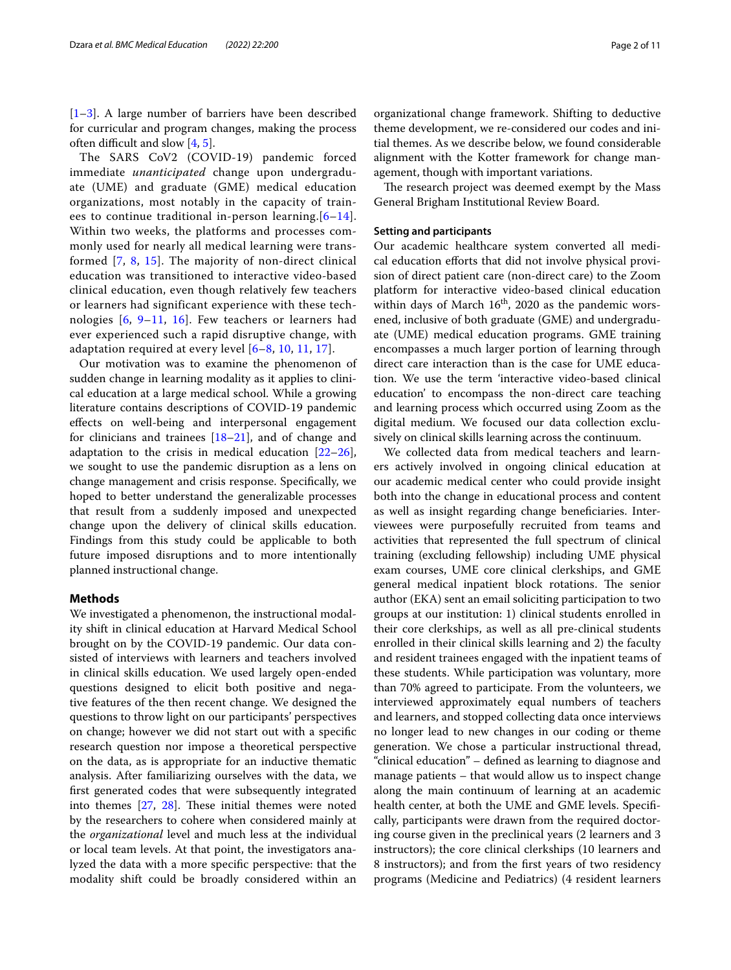[[1–](#page-9-0)[3\]](#page-9-1). A large number of barriers have been described for curricular and program changes, making the process often difficult and slow  $[4, 5]$  $[4, 5]$  $[4, 5]$  $[4, 5]$ .

The SARS CoV2 (COVID-19) pandemic forced immediate *unanticipated* change upon undergraduate (UME) and graduate (GME) medical education organizations, most notably in the capacity of trainees to continue traditional in-person learning.  $[6-14]$  $[6-14]$ . Within two weeks, the platforms and processes commonly used for nearly all medical learning were transformed [[7](#page-9-6), [8,](#page-9-7) [15](#page-9-8)]. The majority of non-direct clinical education was transitioned to interactive video-based clinical education, even though relatively few teachers or learners had significant experience with these technologies [[6](#page-9-4), [9](#page-9-9)[–11,](#page-9-10) [16\]](#page-9-11). Few teachers or learners had ever experienced such a rapid disruptive change, with adaptation required at every level [[6–](#page-9-4)[8,](#page-9-7) [10](#page-9-12), [11](#page-9-10), [17](#page-9-13)].

Our motivation was to examine the phenomenon of sudden change in learning modality as it applies to clinical education at a large medical school. While a growing literature contains descriptions of COVID-19 pandemic efects on well-being and interpersonal engagement for clinicians and trainees [\[18–](#page-9-14)[21\]](#page-10-0), and of change and adaptation to the crisis in medical education  $[22-26]$  $[22-26]$  $[22-26]$ , we sought to use the pandemic disruption as a lens on change management and crisis response. Specifcally, we hoped to better understand the generalizable processes that result from a suddenly imposed and unexpected change upon the delivery of clinical skills education. Findings from this study could be applicable to both future imposed disruptions and to more intentionally planned instructional change.

# **Methods**

We investigated a phenomenon, the instructional modality shift in clinical education at Harvard Medical School brought on by the COVID-19 pandemic. Our data consisted of interviews with learners and teachers involved in clinical skills education. We used largely open-ended questions designed to elicit both positive and negative features of the then recent change. We designed the questions to throw light on our participants' perspectives on change; however we did not start out with a specifc research question nor impose a theoretical perspective on the data, as is appropriate for an inductive thematic analysis. After familiarizing ourselves with the data, we frst generated codes that were subsequently integrated into themes  $[27, 28]$  $[27, 28]$  $[27, 28]$ . These initial themes were noted by the researchers to cohere when considered mainly at the *organizational* level and much less at the individual or local team levels. At that point, the investigators analyzed the data with a more specifc perspective: that the modality shift could be broadly considered within an

organizational change framework. Shifting to deductive theme development, we re-considered our codes and initial themes. As we describe below, we found considerable alignment with the Kotter framework for change management, though with important variations.

The research project was deemed exempt by the Mass General Brigham Institutional Review Board.

# **Setting and participants**

Our academic healthcare system converted all medical education eforts that did not involve physical provision of direct patient care (non-direct care) to the Zoom platform for interactive video-based clinical education within days of March  $16<sup>th</sup>$ , 2020 as the pandemic worsened, inclusive of both graduate (GME) and undergraduate (UME) medical education programs. GME training encompasses a much larger portion of learning through direct care interaction than is the case for UME education. We use the term 'interactive video-based clinical education' to encompass the non-direct care teaching and learning process which occurred using Zoom as the digital medium. We focused our data collection exclusively on clinical skills learning across the continuum.

We collected data from medical teachers and learners actively involved in ongoing clinical education at our academic medical center who could provide insight both into the change in educational process and content as well as insight regarding change benefciaries. Interviewees were purposefully recruited from teams and activities that represented the full spectrum of clinical training (excluding fellowship) including UME physical exam courses, UME core clinical clerkships, and GME general medical inpatient block rotations. The senior author (EKA) sent an email soliciting participation to two groups at our institution: 1) clinical students enrolled in their core clerkships, as well as all pre-clinical students enrolled in their clinical skills learning and 2) the faculty and resident trainees engaged with the inpatient teams of these students. While participation was voluntary, more than 70% agreed to participate. From the volunteers, we interviewed approximately equal numbers of teachers and learners, and stopped collecting data once interviews no longer lead to new changes in our coding or theme generation. We chose a particular instructional thread, "clinical education" – defned as learning to diagnose and manage patients – that would allow us to inspect change along the main continuum of learning at an academic health center, at both the UME and GME levels. Specifcally, participants were drawn from the required doctoring course given in the preclinical years (2 learners and 3 instructors); the core clinical clerkships (10 learners and 8 instructors); and from the frst years of two residency programs (Medicine and Pediatrics) (4 resident learners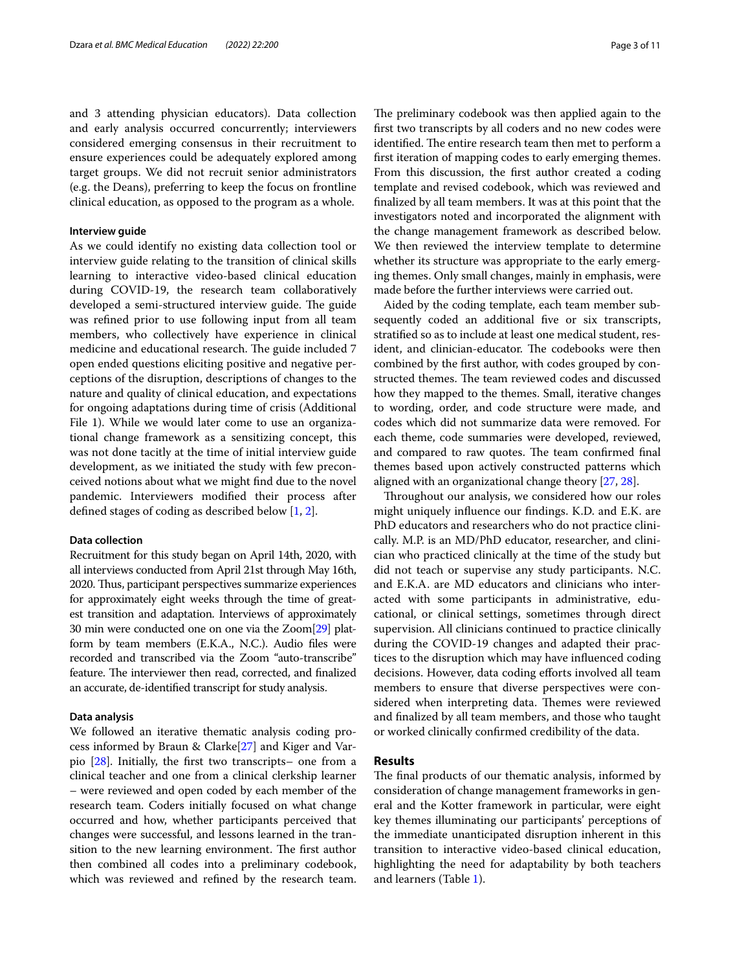and 3 attending physician educators). Data collection and early analysis occurred concurrently; interviewers considered emerging consensus in their recruitment to ensure experiences could be adequately explored among target groups. We did not recruit senior administrators (e.g. the Deans), preferring to keep the focus on frontline clinical education, as opposed to the program as a whole.

# **Interview guide**

As we could identify no existing data collection tool or interview guide relating to the transition of clinical skills learning to interactive video-based clinical education during COVID-19, the research team collaboratively developed a semi-structured interview guide. The guide was refned prior to use following input from all team members, who collectively have experience in clinical medicine and educational research. The guide included 7 open ended questions eliciting positive and negative perceptions of the disruption, descriptions of changes to the nature and quality of clinical education, and expectations for ongoing adaptations during time of crisis (Additional File 1). While we would later come to use an organizational change framework as a sensitizing concept, this was not done tacitly at the time of initial interview guide development, as we initiated the study with few preconceived notions about what we might fnd due to the novel pandemic. Interviewers modifed their process after defned stages of coding as described below [\[1](#page-9-0), [2\]](#page-9-15).

# **Data collection**

Recruitment for this study began on April 14th, 2020, with all interviews conducted from April 21st through May 16th, 2020. Thus, participant perspectives summarize experiences for approximately eight weeks through the time of greatest transition and adaptation. Interviews of approximately 30 min were conducted one on one via the Zoom[\[29\]](#page-10-5) platform by team members (E.K.A., N.C.). Audio fles were recorded and transcribed via the Zoom "auto-transcribe" feature. The interviewer then read, corrected, and finalized an accurate, de-identifed transcript for study analysis.

# **Data analysis**

We followed an iterative thematic analysis coding process informed by Braun & Clarke[\[27](#page-10-3)] and Kiger and Varpio [[28\]](#page-10-4). Initially, the frst two transcripts– one from a clinical teacher and one from a clinical clerkship learner – were reviewed and open coded by each member of the research team. Coders initially focused on what change occurred and how, whether participants perceived that changes were successful, and lessons learned in the transition to the new learning environment. The first author then combined all codes into a preliminary codebook, which was reviewed and refned by the research team.

The preliminary codebook was then applied again to the frst two transcripts by all coders and no new codes were identified. The entire research team then met to perform a frst iteration of mapping codes to early emerging themes. From this discussion, the frst author created a coding template and revised codebook, which was reviewed and fnalized by all team members. It was at this point that the investigators noted and incorporated the alignment with the change management framework as described below. We then reviewed the interview template to determine whether its structure was appropriate to the early emerging themes. Only small changes, mainly in emphasis, were made before the further interviews were carried out.

Aided by the coding template, each team member subsequently coded an additional five or six transcripts, stratifed so as to include at least one medical student, resident, and clinician-educator. The codebooks were then combined by the frst author, with codes grouped by constructed themes. The team reviewed codes and discussed how they mapped to the themes. Small, iterative changes to wording, order, and code structure were made, and codes which did not summarize data were removed. For each theme, code summaries were developed, reviewed, and compared to raw quotes. The team confirmed final themes based upon actively constructed patterns which aligned with an organizational change theory [[27,](#page-10-3) [28\]](#page-10-4).

Throughout our analysis, we considered how our roles might uniquely infuence our fndings. K.D. and E.K. are PhD educators and researchers who do not practice clinically. M.P. is an MD/PhD educator, researcher, and clinician who practiced clinically at the time of the study but did not teach or supervise any study participants. N.C. and E.K.A. are MD educators and clinicians who interacted with some participants in administrative, educational, or clinical settings, sometimes through direct supervision. All clinicians continued to practice clinically during the COVID-19 changes and adapted their practices to the disruption which may have infuenced coding decisions. However, data coding efforts involved all team members to ensure that diverse perspectives were considered when interpreting data. Themes were reviewed and fnalized by all team members, and those who taught or worked clinically confrmed credibility of the data.

# **Results**

The final products of our thematic analysis, informed by consideration of change management frameworks in general and the Kotter framework in particular, were eight key themes illuminating our participants' perceptions of the immediate unanticipated disruption inherent in this transition to interactive video-based clinical education, highlighting the need for adaptability by both teachers and learners (Table [1](#page-3-0)).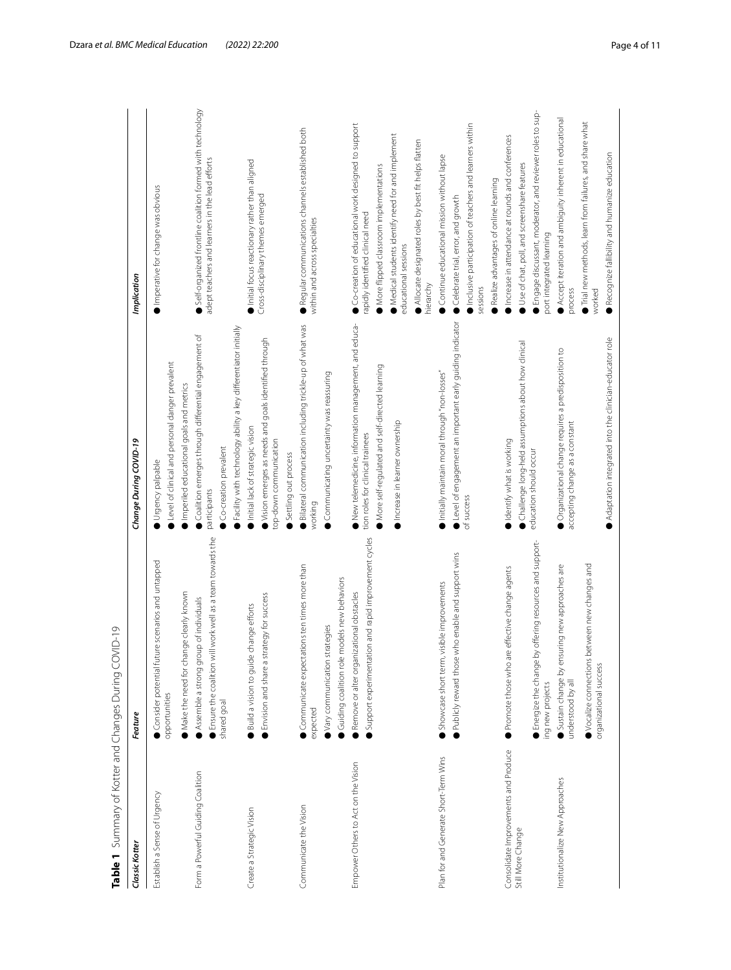| Classic Kotter                        | Feature                                                                                          | Change During COVID-19                                                                   | Implication                                                                             |
|---------------------------------------|--------------------------------------------------------------------------------------------------|------------------------------------------------------------------------------------------|-----------------------------------------------------------------------------------------|
| Establish a Sense of Urgency          | Consider potential future scenarios and untapped<br>opportunities                                | Level of clinical and personal danger prevalent<br>Urgency palpable                      | Imperative for change was obvious                                                       |
|                                       | Make the need for change clearly known                                                           | Imperiled educational goals and metrics                                                  |                                                                                         |
| Form a Powerful Guiding Coalition     | Assemble a strong group of individuals                                                           | Coalition emerges through differential engagement of                                     | Self-organized frontline coalition formed with technology                               |
|                                       | Ensure the coalition will work well as a team towards the                                        | participants                                                                             | adept teachers and learners in the lead efforts                                         |
|                                       | shared goal                                                                                      | Co-creation prevalent                                                                    |                                                                                         |
|                                       |                                                                                                  | Facility with technology ability a key differentiator initially                          |                                                                                         |
| Create a Strategic Vision             | Build a vision to guide change efforts                                                           | Initial lack of strategic vision                                                         | Initial focus reactionary rather than aligned                                           |
|                                       | Envision and share a strategy for success                                                        | Vision emerges as needs and goals identified through<br>top-down communication           | Cross-disciplinary themes emerged                                                       |
|                                       |                                                                                                  | Settling out process                                                                     |                                                                                         |
| Communicate the Vision                | Communicate expectations ten times more than<br>expected                                         | Bilateral communication including trickle-up of what was<br>working                      | Regular communications channels established both<br>within and across specialties       |
|                                       | Vary communication strategies                                                                    | Communicating uncertainty was reassuring                                                 |                                                                                         |
|                                       | Guiding coalition role models new behaviors                                                      |                                                                                          |                                                                                         |
| Empower Others to Act on the Vision   | Support experimentation and rapid improvement cycles<br>Remove or alter organizational obstacles | New telemedicine, information management, and educa-<br>tion roles for clinical trainees | Co-creation of educational work designed to support<br>rapidly identified clinical need |
|                                       |                                                                                                  | More self-regulated and self-directed learning                                           | More flipped classroom implementations                                                  |
|                                       |                                                                                                  | Increase in learner ownership                                                            | Medical students identify need for and implement<br>educational sessions                |
|                                       |                                                                                                  |                                                                                          | Allocate designated roles by best fit helps flatten<br>hierarchy                        |
| Plan for and Generate Short-Term Wins | Showcase short term, visible improvements                                                        | Initially maintain moral through "non-losses"                                            | Continue educational mission without lapse                                              |
|                                       | Publicly reward those who enable and support wins                                                | Level of engagement an important early guiding indicator                                 | Celebrate trial, error, and growth                                                      |
|                                       |                                                                                                  | of success                                                                               | Inclusive participation of teachers and learners within<br>sessions                     |
|                                       |                                                                                                  |                                                                                          | Realize advantages of online learning                                                   |
| Consolidate Improvements and Produce  | effective change agents<br>Promote those who are                                                 | Identify what is working                                                                 | Increase in attendance at rounds and conferences                                        |
| Still More Change                     |                                                                                                  | Challenge long-held assumptions about how clinical                                       | Use of chat, poll, and screenshare features                                             |
|                                       | offering resources and support-<br>Energize the change by<br>ing new projects                    | education should occur                                                                   | Engage discussant, moderator, and reviewer roles to sup-<br>port integrated learning    |
| Institutionalize New Approaches       | by ensuring new approaches are<br>Sustain change<br>understood by all                            | Organizational change requires a predisposition to<br>accepting change as a constant     | Accept iteration and ambiguity inherent in educational<br>process                       |
|                                       | Vocalize connections between new changes and<br>organizational success                           |                                                                                          | Trial new methods, learn from failures, and share what<br>worked                        |
|                                       |                                                                                                  | Adaptation integrated into the clinician-educator role                                   | Recognize fallibility and humanize education                                            |

<span id="page-3-0"></span>Table 1 Summary of Kotter and Changes During COVID-19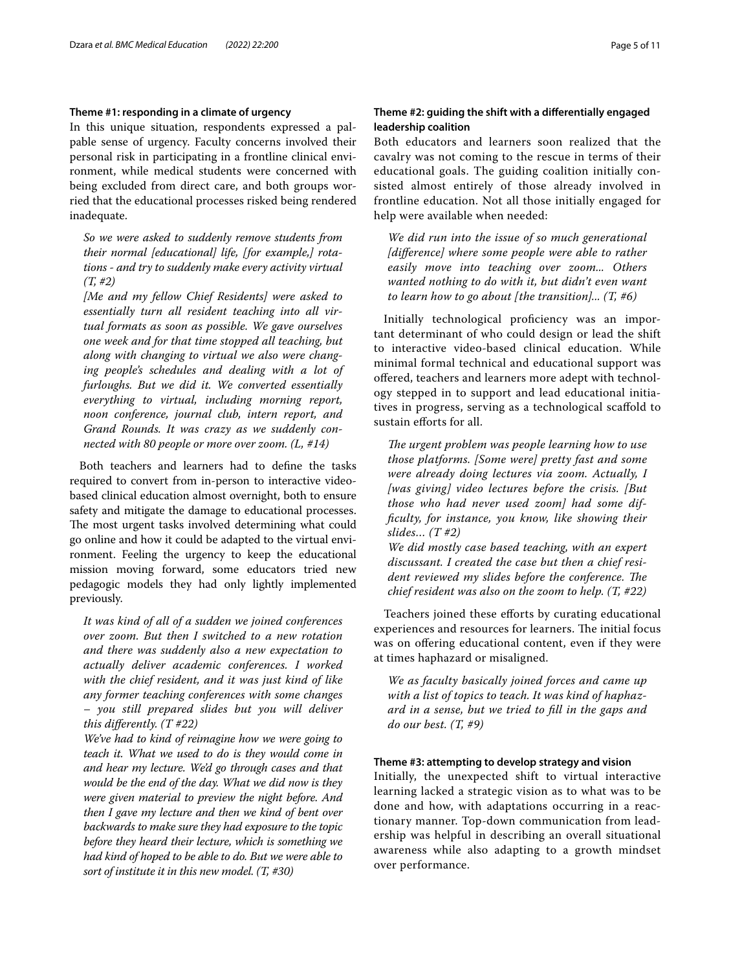# **Theme #1: responding in a climate of urgency**

In this unique situation, respondents expressed a palpable sense of urgency. Faculty concerns involved their personal risk in participating in a frontline clinical environment, while medical students were concerned with being excluded from direct care, and both groups worried that the educational processes risked being rendered inadequate.

*So we were asked to suddenly remove students from their normal [educational] life, [for example,] rotations - and try to suddenly make every activity virtual (T, #2)*

*[Me and my fellow Chief Residents] were asked to essentially turn all resident teaching into all virtual formats as soon as possible. We gave ourselves one week and for that time stopped all teaching, but along with changing to virtual we also were changing people's schedules and dealing with a lot of furloughs. But we did it. We converted essentially everything to virtual, including morning report, noon conference, journal club, intern report, and Grand Rounds. It was crazy as we suddenly connected with 80 people or more over zoom. (L, #14)*

Both teachers and learners had to defne the tasks required to convert from in-person to interactive videobased clinical education almost overnight, both to ensure safety and mitigate the damage to educational processes. The most urgent tasks involved determining what could go online and how it could be adapted to the virtual environment. Feeling the urgency to keep the educational mission moving forward, some educators tried new pedagogic models they had only lightly implemented previously.

*It was kind of all of a sudden we joined conferences over zoom. But then I switched to a new rotation and there was suddenly also a new expectation to actually deliver academic conferences. I worked with the chief resident, and it was just kind of like any former teaching conferences with some changes – you still prepared slides but you will deliver this diferently. (T #22)*

*We've had to kind of reimagine how we were going to teach it. What we used to do is they would come in and hear my lecture. We'd go through cases and that would be the end of the day. What we did now is they were given material to preview the night before. And then I gave my lecture and then we kind of bent over backwards to make sure they had exposure to the topic before they heard their lecture, which is something we had kind of hoped to be able to do. But we were able to sort of institute it in this new model. (T, #30)*

# **Theme #2: guiding the shift with a diferentially engaged leadership coalition**

Both educators and learners soon realized that the cavalry was not coming to the rescue in terms of their educational goals. The guiding coalition initially consisted almost entirely of those already involved in frontline education. Not all those initially engaged for help were available when needed:

*We did run into the issue of so much generational [diference] where some people were able to rather easily move into teaching over zoom... Others wanted nothing to do with it, but didn't even want to learn how to go about [the transition]... (T, #6)*

Initially technological proficiency was an important determinant of who could design or lead the shift to interactive video-based clinical education. While minimal formal technical and educational support was ofered, teachers and learners more adept with technology stepped in to support and lead educational initiatives in progress, serving as a technological scafold to sustain efforts for all.

*The urgent problem was people learning how to use those platforms. [Some were] pretty fast and some were already doing lectures via zoom. Actually, I [was giving] video lectures before the crisis. [But those who had never used zoom] had some diffculty, for instance, you know, like showing their slides… (T #2)*

*We did mostly case based teaching, with an expert discussant. I created the case but then a chief resident reviewed my slides before the conference. The chief resident was also on the zoom to help. (T, #22)*

Teachers joined these efforts by curating educational experiences and resources for learners. The initial focus was on offering educational content, even if they were at times haphazard or misaligned.

*We as faculty basically joined forces and came up with a list of topics to teach. It was kind of haphazard in a sense, but we tried to fll in the gaps and do our best. (T, #9)*

# **Theme #3: attempting to develop strategy and vision**

Initially, the unexpected shift to virtual interactive learning lacked a strategic vision as to what was to be done and how, with adaptations occurring in a reactionary manner. Top-down communication from leadership was helpful in describing an overall situational awareness while also adapting to a growth mindset over performance.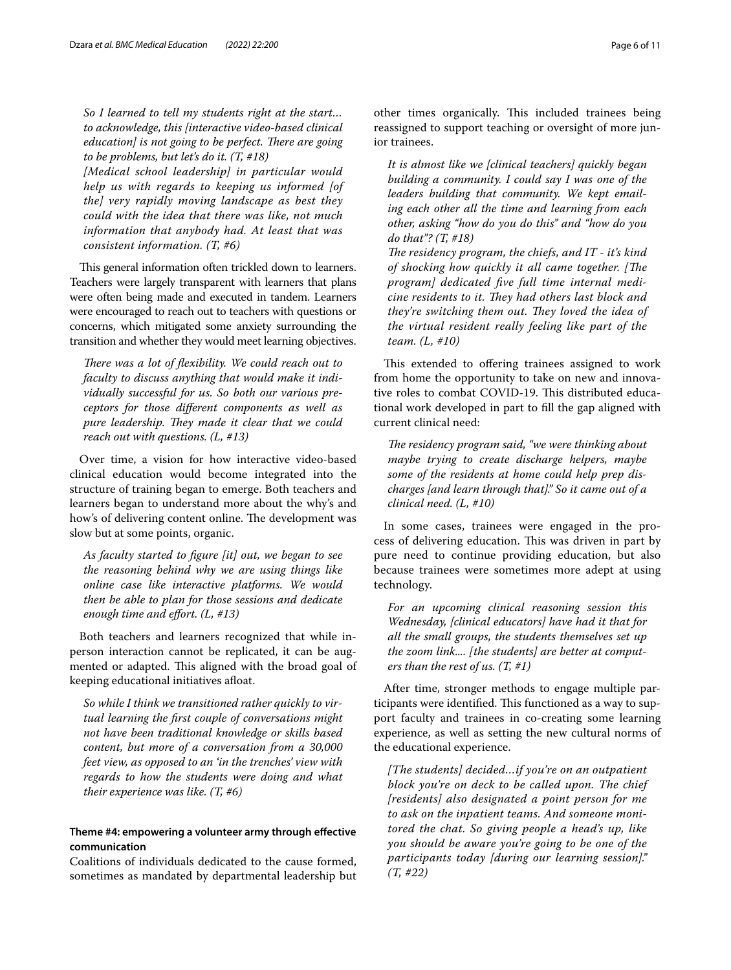*So I learned to tell my students right at the start… to acknowledge, this [interactive video-based clinical education] is not going to be perfect. There are going to be problems, but let's do it. (T, #18)*

*[Medical school leadership] in particular would help us with regards to keeping us informed [of the] very rapidly moving landscape as best they could with the idea that there was like, not much information that anybody had. At least that was consistent information. (T, #6)*

This general information often trickled down to learners. Teachers were largely transparent with learners that plans were often being made and executed in tandem. Learners were encouraged to reach out to teachers with questions or concerns, which mitigated some anxiety surrounding the transition and whether they would meet learning objectives.

There was a lot of flexibility. We could reach out to *faculty to discuss anything that would make it individually successful for us. So both our various preceptors for those diferent components as well as pure leadership. They made it clear that we could reach out with questions. (L, #13)*

Over time, a vision for how interactive video-based clinical education would become integrated into the structure of training began to emerge. Both teachers and learners began to understand more about the why's and how's of delivering content online. The development was slow but at some points, organic.

*As faculty started to fgure [it] out, we began to see the reasoning behind why we are using things like online case like interactive platforms. We would then be able to plan for those sessions and dedicate enough time and efort. (L, #13)*

Both teachers and learners recognized that while inperson interaction cannot be replicated, it can be augmented or adapted. This aligned with the broad goal of keeping educational initiatives afoat.

*So while I think we transitioned rather quickly to virtual learning the frst couple of conversations might not have been traditional knowledge or skills based content, but more of a conversation from a 30,000 feet view, as opposed to an 'in the trenches' view with regards to how the students were doing and what their experience was like. (T, #6)*

# **Theme #4: empowering a volunteer army through efective communication**

Coalitions of individuals dedicated to the cause formed, sometimes as mandated by departmental leadership but other times organically. This included trainees being reassigned to support teaching or oversight of more junior trainees.

*It is almost like we [clinical teachers] quickly began building a community. I could say I was one of the leaders building that community. We kept emailing each other all the time and learning from each other, asking "how do you do this" and "how do you do that"? (T, #18)*

The residency program, the chiefs, and IT - it's kind *of shocking how quickly it all came together. [The program] dedicated fve full time internal medicine residents to it. They had others last block and they're switching them out. They loved the idea of the virtual resident really feeling like part of the team. (L, #10)*

This extended to offering trainees assigned to work from home the opportunity to take on new and innovative roles to combat COVID-19. This distributed educational work developed in part to fll the gap aligned with current clinical need:

*The residency program said, "we were thinking about maybe trying to create discharge helpers, maybe some of the residents at home could help prep discharges [and learn through that]." So it came out of a clinical need. (L, #10)*

In some cases, trainees were engaged in the process of delivering education. This was driven in part by pure need to continue providing education, but also because trainees were sometimes more adept at using technology.

*For an upcoming clinical reasoning session this Wednesday, [clinical educators] have had it that for all the small groups, the students themselves set up the zoom link.... [the students] are better at computers than the rest of us. (T, #1)*

After time, stronger methods to engage multiple participants were identified. This functioned as a way to support faculty and trainees in co-creating some learning experience, as well as setting the new cultural norms of the educational experience.

*[The students] decided…if you're on an outpatient block you're on deck to be called upon. The chief [residents] also designated a point person for me to ask on the inpatient teams. And someone monitored the chat. So giving people a head's up, like you should be aware you're going to be one of the participants today [during our learning session]." (T, #22)*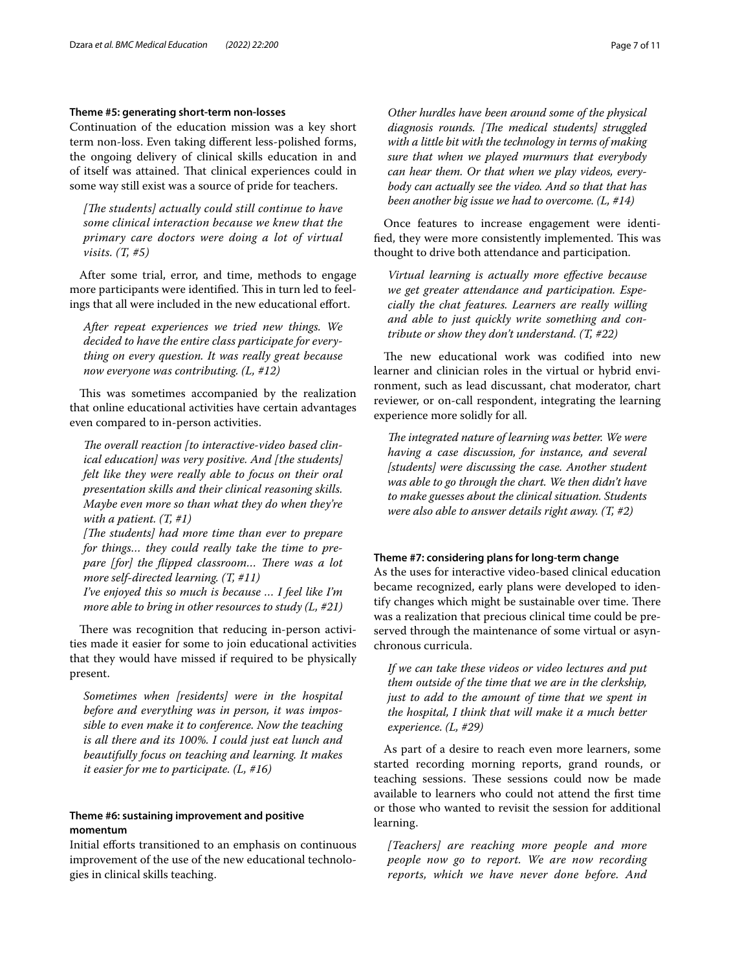# **Theme #5: generating short‑term non‑losses**

Continuation of the education mission was a key short term non-loss. Even taking diferent less-polished forms, the ongoing delivery of clinical skills education in and of itself was attained. That clinical experiences could in some way still exist was a source of pride for teachers.

[The students] actually could still continue to have *some clinical interaction because we knew that the primary care doctors were doing a lot of virtual visits. (T, #5)*

After some trial, error, and time, methods to engage more participants were identified. This in turn led to feelings that all were included in the new educational effort.

*After repeat experiences we tried new things. We decided to have the entire class participate for everything on every question. It was really great because now everyone was contributing. (L, #12)*

This was sometimes accompanied by the realization that online educational activities have certain advantages even compared to in-person activities.

The overall reaction [to interactive-video based clin*ical education] was very positive. And [the students] felt like they were really able to focus on their oral presentation skills and their clinical reasoning skills. Maybe even more so than what they do when they're with a patient. (T, #1)*

*[The students] had more time than ever to prepare for things… they could really take the time to prepare [for] the flipped classroom... There was a lot more self-directed learning. (T, #11)*

*I've enjoyed this so much is because … I feel like I'm more able to bring in other resources to study (L, #21)*

There was recognition that reducing in-person activities made it easier for some to join educational activities that they would have missed if required to be physically present.

*Sometimes when [residents] were in the hospital before and everything was in person, it was impossible to even make it to conference. Now the teaching is all there and its 100%. I could just eat lunch and beautifully focus on teaching and learning. It makes it easier for me to participate. (L, #16)*

# **Theme #6: sustaining improvement and positive momentum**

Initial eforts transitioned to an emphasis on continuous improvement of the use of the new educational technologies in clinical skills teaching.

*Other hurdles have been around some of the physical*  diagnosis rounds. [The medical students] struggled *with a little bit with the technology in terms of making sure that when we played murmurs that everybody can hear them. Or that when we play videos, everybody can actually see the video. And so that that has been another big issue we had to overcome. (L, #14)*

Once features to increase engagement were identified, they were more consistently implemented. This was thought to drive both attendance and participation.

*Virtual learning is actually more efective because we get greater attendance and participation. Especially the chat features. Learners are really willing and able to just quickly write something and contribute or show they don't understand. (T, #22)*

The new educational work was codified into new learner and clinician roles in the virtual or hybrid environment, such as lead discussant, chat moderator, chart reviewer, or on-call respondent, integrating the learning experience more solidly for all.

The integrated nature of learning was better. We were *having a case discussion, for instance, and several [students] were discussing the case. Another student was able to go through the chart. We then didn't have to make guesses about the clinical situation. Students were also able to answer details right away. (T, #2)*

# **Theme #7: considering plans for long‑term change**

As the uses for interactive video-based clinical education became recognized, early plans were developed to identify changes which might be sustainable over time. There was a realization that precious clinical time could be preserved through the maintenance of some virtual or asynchronous curricula.

*If we can take these videos or video lectures and put them outside of the time that we are in the clerkship, just to add to the amount of time that we spent in the hospital, I think that will make it a much better experience. (L, #29)*

As part of a desire to reach even more learners, some started recording morning reports, grand rounds, or teaching sessions. These sessions could now be made available to learners who could not attend the frst time or those who wanted to revisit the session for additional learning.

*[Teachers] are reaching more people and more people now go to report. We are now recording reports, which we have never done before. And*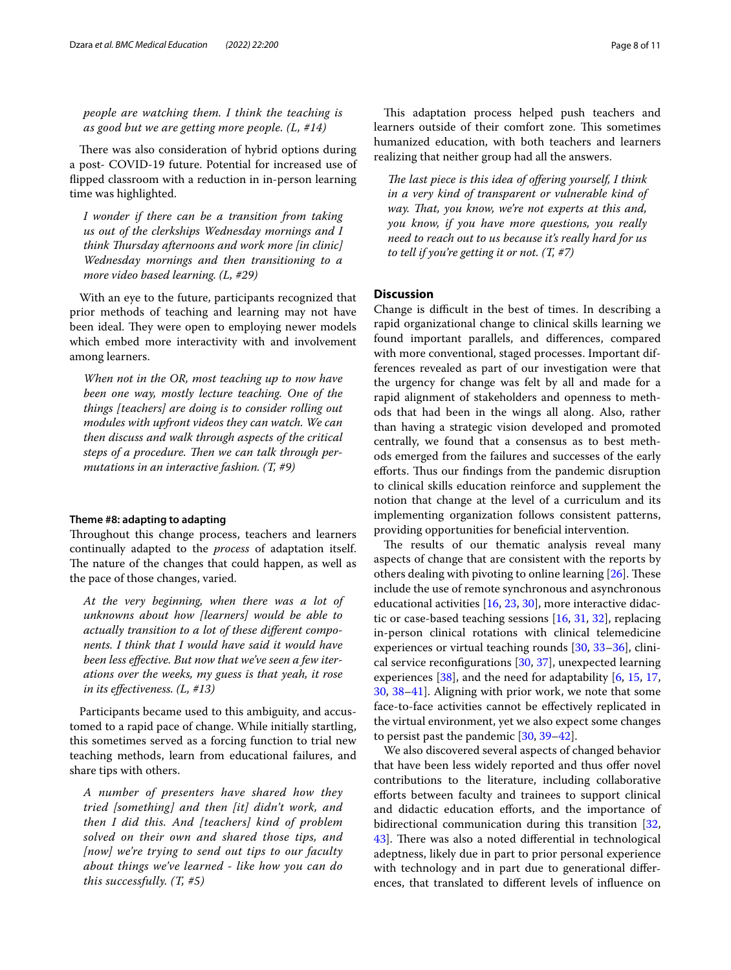*people are watching them. I think the teaching is as good but we are getting more people. (L, #14)*

There was also consideration of hybrid options during a post- COVID-19 future. Potential for increased use of fipped classroom with a reduction in in-person learning time was highlighted.

*I wonder if there can be a transition from taking us out of the clerkships Wednesday mornings and I think Tursday afternoons and work more [in clinic] Wednesday mornings and then transitioning to a more video based learning. (L, #29)*

With an eye to the future, participants recognized that prior methods of teaching and learning may not have been ideal. They were open to employing newer models which embed more interactivity with and involvement among learners.

*When not in the OR, most teaching up to now have been one way, mostly lecture teaching. One of the things [teachers] are doing is to consider rolling out modules with upfront videos they can watch. We can then discuss and walk through aspects of the critical*  steps of a procedure. Then we can talk through per*mutations in an interactive fashion. (T, #9)*

### **Theme #8: adapting to adapting**

Throughout this change process, teachers and learners continually adapted to the *process* of adaptation itself. The nature of the changes that could happen, as well as the pace of those changes, varied.

*At the very beginning, when there was a lot of unknowns about how [learners] would be able to actually transition to a lot of these diferent components. I think that I would have said it would have been less efective. But now that we've seen a few iterations over the weeks, my guess is that yeah, it rose in its efectiveness. (L, #13)*

Participants became used to this ambiguity, and accustomed to a rapid pace of change. While initially startling, this sometimes served as a forcing function to trial new teaching methods, learn from educational failures, and share tips with others.

*A number of presenters have shared how they tried [something] and then [it] didn't work, and then I did this. And [teachers] kind of problem solved on their own and shared those tips, and [now] we're trying to send out tips to our faculty about things we've learned - like how you can do this successfully. (T, #5)*

This adaptation process helped push teachers and learners outside of their comfort zone. This sometimes humanized education, with both teachers and learners realizing that neither group had all the answers.

The last piece is this idea of offering yourself, I think *in a very kind of transparent or vulnerable kind of way. Tat, you know, we're not experts at this and, you know, if you have more questions, you really need to reach out to us because it's really hard for us to tell if you're getting it or not. (T, #7)*

# **Discussion**

Change is difficult in the best of times. In describing a rapid organizational change to clinical skills learning we found important parallels, and diferences, compared with more conventional, staged processes. Important differences revealed as part of our investigation were that the urgency for change was felt by all and made for a rapid alignment of stakeholders and openness to methods that had been in the wings all along. Also, rather than having a strategic vision developed and promoted centrally, we found that a consensus as to best methods emerged from the failures and successes of the early efforts. Thus our findings from the pandemic disruption to clinical skills education reinforce and supplement the notion that change at the level of a curriculum and its implementing organization follows consistent patterns, providing opportunities for benefcial intervention.

The results of our thematic analysis reveal many aspects of change that are consistent with the reports by others dealing with pivoting to online learning  $[26]$  $[26]$ . These include the use of remote synchronous and asynchronous educational activities [[16,](#page-9-11) [23](#page-10-6), [30\]](#page-10-7), more interactive didactic or case-based teaching sessions [\[16,](#page-9-11) [31,](#page-10-8) [32\]](#page-10-9), replacing in-person clinical rotations with clinical telemedicine experiences or virtual teaching rounds [[30,](#page-10-7) [33](#page-10-10)[–36](#page-10-11)], clinical service reconfgurations [[30](#page-10-7), [37](#page-10-12)], unexpected learning experiences [[38\]](#page-10-13), and the need for adaptability [[6,](#page-9-4) [15](#page-9-8), [17](#page-9-13), [30,](#page-10-7) [38–](#page-10-13)[41](#page-10-14)]. Aligning with prior work, we note that some face-to-face activities cannot be efectively replicated in the virtual environment, yet we also expect some changes to persist past the pandemic [\[30](#page-10-7), [39](#page-10-15)[–42](#page-10-16)].

We also discovered several aspects of changed behavior that have been less widely reported and thus ofer novel contributions to the literature, including collaborative eforts between faculty and trainees to support clinical and didactic education efforts, and the importance of bidirectional communication during this transition [[32](#page-10-9), [43\]](#page-10-17). There was also a noted differential in technological adeptness, likely due in part to prior personal experience with technology and in part due to generational diferences, that translated to diferent levels of infuence on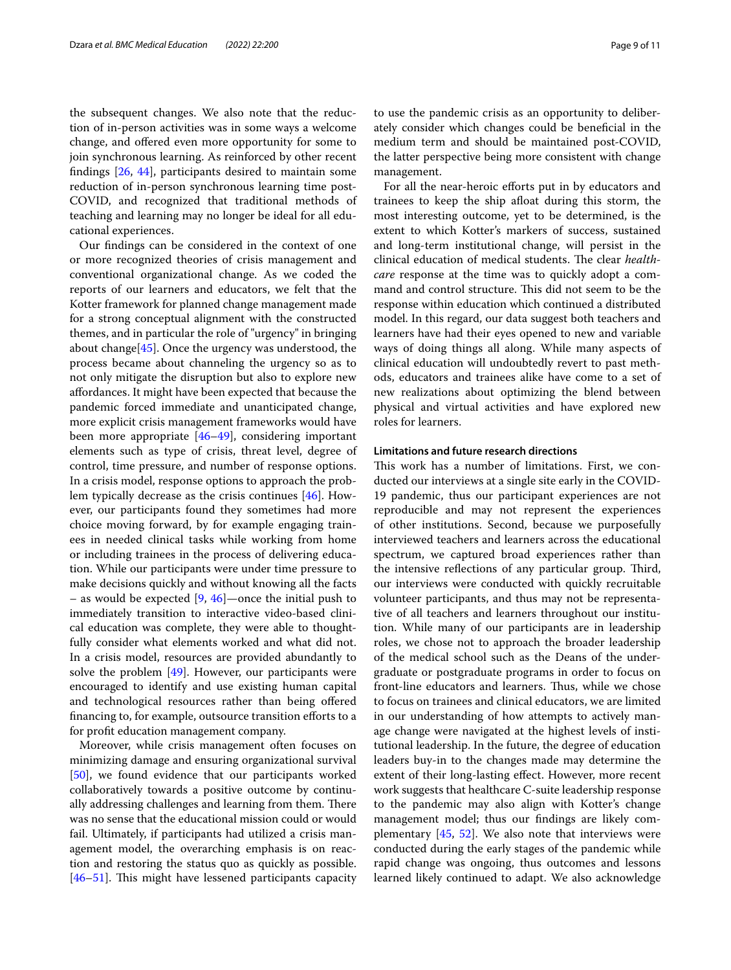the subsequent changes. We also note that the reduction of in-person activities was in some ways a welcome change, and ofered even more opportunity for some to join synchronous learning. As reinforced by other recent fndings [\[26](#page-10-2), [44\]](#page-10-18), participants desired to maintain some reduction of in-person synchronous learning time post-COVID, and recognized that traditional methods of teaching and learning may no longer be ideal for all educational experiences.

Our fndings can be considered in the context of one or more recognized theories of crisis management and conventional organizational change. As we coded the reports of our learners and educators, we felt that the Kotter framework for planned change management made for a strong conceptual alignment with the constructed themes, and in particular the role of "urgency" in bringing about change[[45](#page-10-19)]. Once the urgency was understood, the process became about channeling the urgency so as to not only mitigate the disruption but also to explore new afordances. It might have been expected that because the pandemic forced immediate and unanticipated change, more explicit crisis management frameworks would have been more appropriate [[46](#page-10-20)[–49](#page-10-21)], considering important elements such as type of crisis, threat level, degree of control, time pressure, and number of response options. In a crisis model, response options to approach the problem typically decrease as the crisis continues [[46\]](#page-10-20). However, our participants found they sometimes had more choice moving forward, by for example engaging trainees in needed clinical tasks while working from home or including trainees in the process of delivering education. While our participants were under time pressure to make decisions quickly and without knowing all the facts – as would be expected  $[9, 46]$  $[9, 46]$  $[9, 46]$ —once the initial push to immediately transition to interactive video-based clinical education was complete, they were able to thoughtfully consider what elements worked and what did not. In a crisis model, resources are provided abundantly to solve the problem  $[49]$  $[49]$ . However, our participants were encouraged to identify and use existing human capital and technological resources rather than being offered financing to, for example, outsource transition efforts to a for proft education management company.

Moreover, while crisis management often focuses on minimizing damage and ensuring organizational survival [[50\]](#page-10-22), we found evidence that our participants worked collaboratively towards a positive outcome by continually addressing challenges and learning from them. There was no sense that the educational mission could or would fail. Ultimately, if participants had utilized a crisis management model, the overarching emphasis is on reaction and restoring the status quo as quickly as possible.  $[46-51]$  $[46-51]$  $[46-51]$ . This might have lessened participants capacity to use the pandemic crisis as an opportunity to deliberately consider which changes could be benefcial in the medium term and should be maintained post-COVID, the latter perspective being more consistent with change management.

For all the near-heroic efforts put in by educators and trainees to keep the ship afoat during this storm, the most interesting outcome, yet to be determined, is the extent to which Kotter's markers of success, sustained and long-term institutional change, will persist in the clinical education of medical students. The clear *healthcare* response at the time was to quickly adopt a command and control structure. This did not seem to be the response within education which continued a distributed model. In this regard, our data suggest both teachers and learners have had their eyes opened to new and variable ways of doing things all along. While many aspects of clinical education will undoubtedly revert to past methods, educators and trainees alike have come to a set of new realizations about optimizing the blend between physical and virtual activities and have explored new roles for learners.

# **Limitations and future research directions**

This work has a number of limitations. First, we conducted our interviews at a single site early in the COVID-19 pandemic, thus our participant experiences are not reproducible and may not represent the experiences of other institutions. Second, because we purposefully interviewed teachers and learners across the educational spectrum, we captured broad experiences rather than the intensive reflections of any particular group. Third, our interviews were conducted with quickly recruitable volunteer participants, and thus may not be representative of all teachers and learners throughout our institution. While many of our participants are in leadership roles, we chose not to approach the broader leadership of the medical school such as the Deans of the undergraduate or postgraduate programs in order to focus on front-line educators and learners. Thus, while we chose to focus on trainees and clinical educators, we are limited in our understanding of how attempts to actively manage change were navigated at the highest levels of institutional leadership. In the future, the degree of education leaders buy-in to the changes made may determine the extent of their long-lasting effect. However, more recent work suggests that healthcare C-suite leadership response to the pandemic may also align with Kotter's change management model; thus our fndings are likely complementary  $[45, 52]$  $[45, 52]$  $[45, 52]$  $[45, 52]$ . We also note that interviews were conducted during the early stages of the pandemic while rapid change was ongoing, thus outcomes and lessons learned likely continued to adapt. We also acknowledge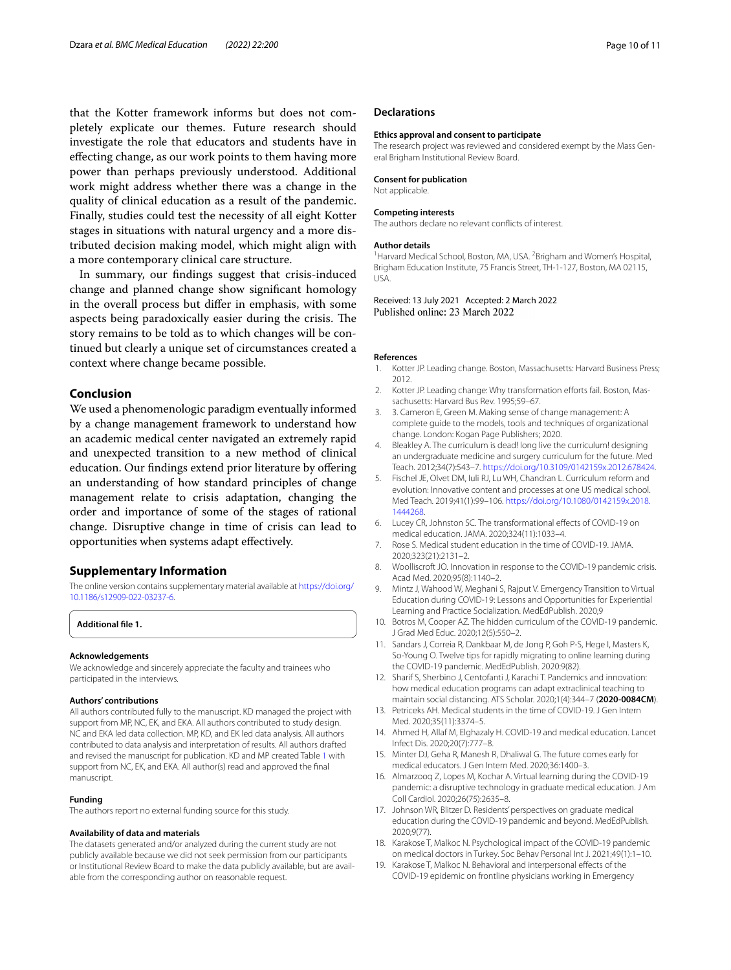that the Kotter framework informs but does not completely explicate our themes. Future research should investigate the role that educators and students have in efecting change, as our work points to them having more power than perhaps previously understood. Additional work might address whether there was a change in the quality of clinical education as a result of the pandemic. Finally, studies could test the necessity of all eight Kotter stages in situations with natural urgency and a more distributed decision making model, which might align with a more contemporary clinical care structure.

In summary, our fndings suggest that crisis-induced change and planned change show signifcant homology in the overall process but difer in emphasis, with some aspects being paradoxically easier during the crisis. The story remains to be told as to which changes will be continued but clearly a unique set of circumstances created a context where change became possible.

# **Conclusion**

We used a phenomenologic paradigm eventually informed by a change management framework to understand how an academic medical center navigated an extremely rapid and unexpected transition to a new method of clinical education. Our fndings extend prior literature by ofering an understanding of how standard principles of change management relate to crisis adaptation, changing the order and importance of some of the stages of rational change. Disruptive change in time of crisis can lead to opportunities when systems adapt efectively.

# **Supplementary Information**

The online version contains supplementary material available at [https://doi.org/](https://doi.org/10.1186/s12909-022-03237-6) [10.1186/s12909-022-03237-6](https://doi.org/10.1186/s12909-022-03237-6).

**Additional fle 1.**

# **Acknowledgements**

We acknowledge and sincerely appreciate the faculty and trainees who participated in the interviews.

#### **Authors' contributions**

All authors contributed fully to the manuscript. KD managed the project with support from MP, NC, EK, and EKA. All authors contributed to study design. NC and EKA led data collection. MP, KD, and EK led data analysis. All authors contributed to data analysis and interpretation of results. All authors drafted and revised the manuscript for publication. KD and MP created Table [1](#page-3-0) with support from NC, EK, and EKA. All author(s) read and approved the fnal manuscript.

### **Funding**

The authors report no external funding source for this study.

#### **Availability of data and materials**

The datasets generated and/or analyzed during the current study are not publicly available because we did not seek permission from our participants or Institutional Review Board to make the data publicly available, but are available from the corresponding author on reasonable request.

#### **Declarations**

#### **Ethics approval and consent to participate**

The research project was reviewed and considered exempt by the Mass General Brigham Institutional Review Board.

#### **Consent for publication**

Not applicable.

#### **Competing interests**

The authors declare no relevant conficts of interest.

#### **Author details**

<sup>1</sup> Harvard Medical School, Boston, MA, USA. <sup>2</sup> Brigham and Women's Hospital, Brigham Education Institute, 75 Francis Street, TH-1-127, Boston, MA 02115, USA.

Received: 13 July 2021 Accepted: 2 March 2022 Published online: 23 March 2022

#### **References**

- <span id="page-9-0"></span>1. Kotter JP. Leading change. Boston, Massachusetts: Harvard Business Press; 2012.
- <span id="page-9-15"></span>2. Kotter JP. Leading change: Why transformation efforts fail. Boston, Massachusetts: Harvard Bus Rev. 1995;59–67.
- <span id="page-9-1"></span>3. 3. Cameron E, Green M. Making sense of change management: A complete guide to the models, tools and techniques of organizational change. London: Kogan Page Publishers; 2020.
- <span id="page-9-2"></span>4. Bleakley A. The curriculum is dead! long live the curriculum! designing an undergraduate medicine and surgery curriculum for the future. Med Teach. 2012;34(7):543–7. [https://doi.org/10.3109/0142159x.2012.678424.](https://doi.org/10.3109/0142159x.2012.678424)
- <span id="page-9-3"></span>5. Fischel JE, Olvet DM, Iuli RJ, Lu WH, Chandran L. Curriculum reform and evolution: Innovative content and processes at one US medical school. Med Teach. 2019;41(1):99–106. [https://doi.org/10.1080/0142159x.2018.](https://doi.org/10.1080/0142159x.2018.1444268) [1444268](https://doi.org/10.1080/0142159x.2018.1444268).
- <span id="page-9-4"></span>6. Lucey CR, Johnston SC. The transformational efects of COVID-19 on medical education. JAMA. 2020;324(11):1033–4.
- <span id="page-9-6"></span>7. Rose S. Medical student education in the time of COVID-19. JAMA. 2020;323(21):2131–2.
- <span id="page-9-7"></span>8. Woolliscroft JO. Innovation in response to the COVID-19 pandemic crisis. Acad Med. 2020;95(8):1140–2.
- <span id="page-9-9"></span>9. Mintz J, Wahood W, Meghani S, Rajput V. Emergency Transition to Virtual Education during COVID-19: Lessons and Opportunities for Experiential Learning and Practice Socialization. MedEdPublish. 2020;9
- <span id="page-9-12"></span>10. Botros M, Cooper AZ. The hidden curriculum of the COVID-19 pandemic. J Grad Med Educ. 2020;12(5):550–2.
- <span id="page-9-10"></span>11. Sandars J, Correia R, Dankbaar M, de Jong P, Goh P-S, Hege I, Masters K, So-Young O. Twelve tips for rapidly migrating to online learning during the COVID-19 pandemic. MedEdPublish. 2020:9(82).
- 12. Sharif S, Sherbino J, Centofanti J, Karachi T. Pandemics and innovation: how medical education programs can adapt extraclinical teaching to maintain social distancing. ATS Scholar. 2020;1(4):344–7 (**2020-0084CM**).
- 13. Petriceks AH. Medical students in the time of COVID-19. J Gen Intern Med. 2020;35(11):3374–5.
- <span id="page-9-5"></span>14. Ahmed H, Allaf M, Elghazaly H. COVID-19 and medical education. Lancet Infect Dis. 2020;20(7):777–8.
- <span id="page-9-8"></span>15. Minter DJ, Geha R, Manesh R, Dhaliwal G. The future comes early for medical educators. J Gen Intern Med. 2020;36:1400–3.
- <span id="page-9-11"></span>16. Almarzooq Z, Lopes M, Kochar A. Virtual learning during the COVID-19 pandemic: a disruptive technology in graduate medical education. J Am Coll Cardiol. 2020;26(75):2635–8.
- <span id="page-9-13"></span>17. Johnson WR, Blitzer D. Residents' perspectives on graduate medical education during the COVID-19 pandemic and beyond. MedEdPublish. 2020;9(77).
- <span id="page-9-14"></span>18. Karakose T, Malkoc N. Psychological impact of the COVID-19 pandemic on medical doctors in Turkey. Soc Behav Personal Int J. 2021;49(1):1–10.
- 19. Karakose T, Malkoc N. Behavioral and interpersonal effects of the COVID-19 epidemic on frontline physicians working in Emergency